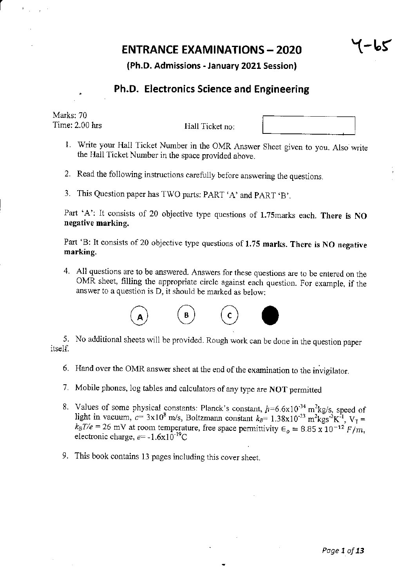# **ENTRANCE EXAMINATIONS - 2020**

"(-br

(Ph.D. Admissions - January 2021 Session)

# Ph.D. Electronics Science and Engineering

Marks: 70 Time: 2.00 hrs

Hall Ticket no:

- i. Write your Hall Ticket Number in the OMR Answer Sheet given to you. Also write the Hall Ticket Number in the space provided above.
- 2. Read the following instructions carefully before answering the questions.
- 3. This Question paper has TWO parts: PART 'A' and PART 'B'.

Part 'A': It consists of 20 objective type questions of 1.75marks each. There is NO negative marking.

Part 'B: It consists of 20 objective type questions of 1.75 marks. There is NO negative marking.

4. All questions arc to be answered. Answers for these questions are to be entered on the OMR sheet, filling the appropriate circle against each question. For example, if the answer to a question is  $D$ , it should be marked as below:



5. No additional sheets will be provided. Rough work can be done in the question paper itself.

- 6. Hand over the OMR answer sheet at the end of the examination to the invigilator
- 7. Mobile phones, log tables and calculators of any type are NOT permitted
- 8. Values of some physical constants: Planck's constant,  $h=6.6\times10^{-34}$  m<sup>2</sup>kg/s, speed of light in vacuum,  $c= 3x10^8$  m/s, Boltzmann constant  $k_B$ = 1.38x10<sup>-23</sup> m<sup>2</sup>kgs<sup>-2</sup>K<sup>-1</sup>, V<sub>7</sub> =  $k_B T/e = 26$  mV at room temperature, free space permittivity  $\epsilon_o = 8.85 \times 10^{-12} F/m$ , electronic charge,  $e = -1.6 \times 10^{-19} C$
- 9. This book contains 13 pages including this cover sheet.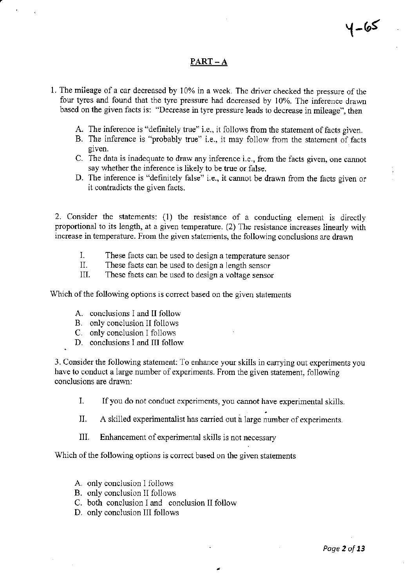## PART – A

- 1. The mileage of a car decreased by 10% in a week. The driver checked the pressure of the four tyres and found that the tyre pressue had decreased by 10%. The inference drawn based on the given facts is: "Decrease in tyre pressure leads to decrease in mileage", then
	- A. The inference is "definitely true" i.e., it follows from the statement of facts given.
	- B. The inference is "probably true" i.e., it may follow ftom the statement of facts given.
	- C. The data is inadequate to draw any inference i.e., from the facts given, one cannot say whether the inference is likely to be true or false.
	- D. The inference is "definitely false" i.e., it cannot be drawn from the facts given or it contradicts the given facts.

2. Consider the statements: (1) the resistance of a conducting element is directly proportional to its length, at a given temperatue. (2) The resistance increases linearly with increase in temperatue. From the given statements, the following conclusions are drawn

- I. These facts can be used to design a temperature sensor<br>II. These facts can be used to design a length sensor<br>III. These facts can be used to design a voltage sensor
- 
- These facts can be used to design a voltage sensor

Which of the following options is correct based on the given statements

- A. conclusions I and lI follow
- B. only conclusion II follows
- C. only conclusion I follows
- D. conclusions I and III follow

.

3. Consider the following statement: To enhance your skills in carrying out experiments you have to conduct a large number of experiments. From the given statement, following conclusions are dravm:

- I. If you do not conduct experiments, you cannot have experimental skills.
- II. A skilled experimentalist has carried out a large number of experiments.
- III. Enhancement of experimental skills is not necessary

Which of the following options is correct based on the given statements

- A. only conclusion I follows
- B. only conclusion II follows
- C. both conclusion I and conclusion II follow
- D. only conciusion III follows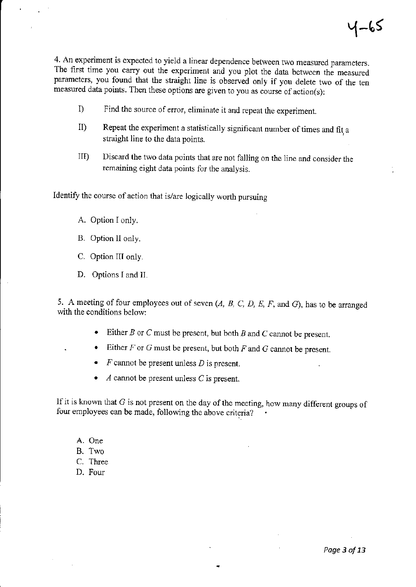4. An experiment is expected to yield a linear dependence between two measured parameters. The first time you carry out the experiment and you plot the data between the measured parameters, you found that the straight line is observed only if you delete two of the ten measured data points. Then these options are given to you as course of  $action(s)$ :

- I) Find the source of error, eliminate it and repeat the experiment.
- II) Repeat the experiment a statistically significant number of times and fit a straight line to the data points.
- IID Discard the two data points that are not falling on the line and consider the remaining eight data points for the analysis.

Identify the course of action that is/are logically worth pursuing

- A. Option I only.
- B. Option lI only.
- C. Option III only.
- D. Options I and IL

5. A meeting of four employees out of seven  $(A, B, C, D, E, F, \text{ and } G)$ , has to be arranged with the conditions below:

- Either  $B$  or  $C$  must be present, but both  $B$  and  $C$  cannot be present.
- Either  $F$  or  $G$  must be present, but both  $F$  and  $G$  cannot be present.
- $F$  cannot be present unless  $D$  is present.
- $\Lambda$  cannot be present unless  $C$  is present.

If it is known that  $G$  is not present on the day of the meeting, how many different groups of four employees can be made, following the above criteria?

- A. One
- B. Two
- C. Three
- D. Four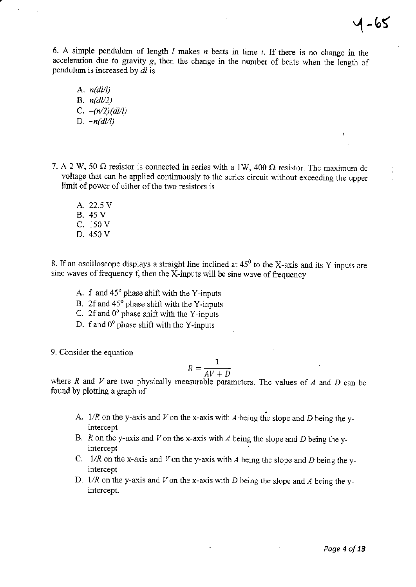6. A simple pendulum of length  $l$  makes  $n$  beats in time  $t$ . If there is no change in the acceleration due to gravity g, then the change in the number of beats when the iength of pendulum is increased by d/ is

- A.  $n(d|l)$ B.  $n\frac{dl}{2}$ C.  $-(n/2)(dl/l)$ D.  $-n(d|l)$
- 7. A 2 W, 50  $\Omega$  resistor is connected in series with a 1W, 400  $\Omega$  resistor. The maximum dc voltage that can be applied continuously to the series circuit without exceeding the upper limit of power of either of the two resistors is
	- A. 22.5 V B. 45V c. 150 v D. 450 V

8. If an oscilloscope displays a straight line inclined at  $45^{\circ}$  to the X-axis and its Y-inputs are sine waves of frequency f, then the X-inputs will be sine wave of ftequency

- A.  $f$  and  $45^\circ$  phase shift with the Y-inputs
- B. 2f and  $45^{\circ}$  phase shift with the Y-inputs
- C. 2f and  $0^{\circ}$  phase shift with the Y-inputs
- D. f and  $0^{\circ}$  phase shift with the Y-inputs

9. Consider the equation

$$
R = \frac{1}{AV + D}
$$

where R and V are two physically measurable parameters. The values of A and D can be found by plotting a graph of

- A.  $1/R$  on the y-axis and V on the x-axis with A being the slope and D being the yintercept
- B. R on the y-axis and V on the x-axis with A being the slope and D being the yintercept
- C.  $1/R$  on the x-axis and V on the y-axis with A being the slope and D being the yintercept
- D.  $1/R$  on the y-axis and V on the x-axis with D being the slope and A being the yintercept.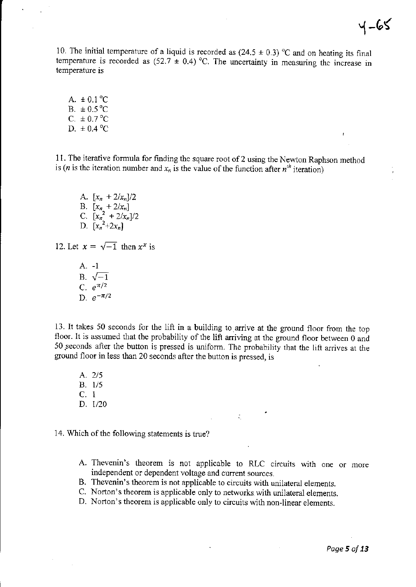10. The initial temperature of a liquid is recorded as  $(24.5 \pm 0.3)$  °C and on heating its final temperature is recorded as  $(52.7 \pm 0.4)$  °C. The uncertainty in measuring the increase in temperature is

A.  $\pm 0.1$  °C  $B. \pm 0.5 \degree C$  $C. \pm 0.7 \degree C$ D.  $\pm 0.4$  °C

11. The iterative formula for finding the square root of 2 using the Newtorr Raphson method is (*n* is the iteration number and  $x_n$  is the value of the function after  $n^{th}$  iteration)

A.  $[x_n + 2/x_n]/2$ B.  $[x_{n} + 2/x_{n}]$ C.  $[x_n^2 + 2/x_n]/2$ D.  $[x_n^2+2x_n]$ 

12. Let  $x = \sqrt{-1}$  then  $x^x$  is

A. -1 B.  $\sqrt{-1}$ C.  $e^{\pi/2}$ D.  $e^{-\pi/2}$ 

13. It takes 50 seconds for the lift in a building to arrive at the ground floor from the top floor. It is assumed that the probability of the lift arriving at the ground floor between  $0$  and 50.seconds after the button is pressed is uniform. The probability that the lift arives at the ground floor in less than 20 seconds after the button is pressed, is

A. 2/5 B. 1/5<br>C. 1 D. t/20

14. Which of the following statements is true?

A. Thevenin's theorem is not applicable to RLC circuits with one or more independent or dependent voltage and current sources.

÷,

- B. Thevenin's theorem is not applicable to circuits with unilateral elements.
- C. Norton's theorem is applicable only to networks with unilateral elements.
- D. Norton's theorem is applicable only to circuits with non-linear elements.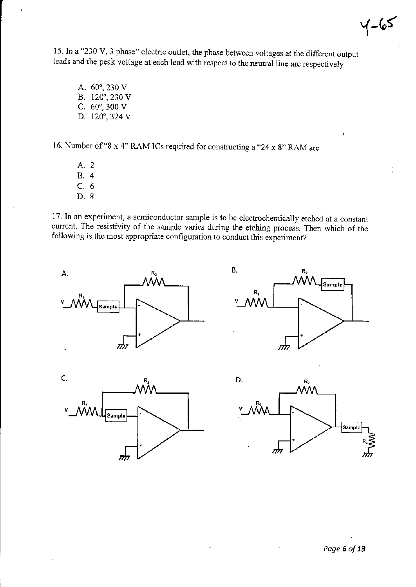$Y - 65$ 

15. In a "230 V, 3 phase" electric outlet, the phase bet\reen voltages at the different output leads and the peak voltage at each lead with respect to the neutral line are respectively

A. 60",230 V B. 120",230 V C.  $60^{\circ}$ , 300 V D. 120°, 324 V

16. Number of "8 x 4" RAM ICs required for constructing a "24 x 8" RAM are

A. 2 B.4 c.6 D.8

17. In an experiment, a semiconductor sample is to be electrochemically etched at a constant current. The resistivity of the sample varies during the etching process. Then which of the following is the most appropriate configuration to conduct this experiment?







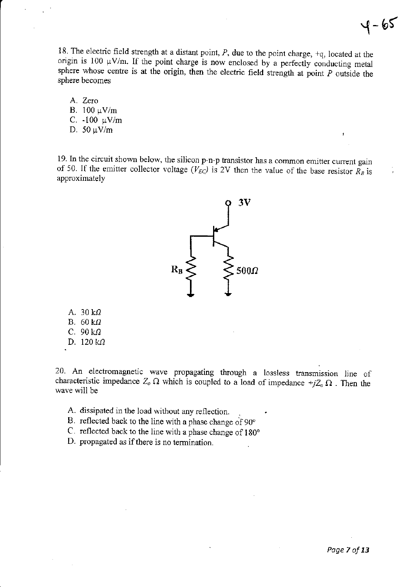18. The electric field strength at a distant point,  $P$ , due to the point charge,  $+q$ , located at the origin is 100  $\mu$ V/m. If the point charge is now enclosed by a perfectly conducting metal sphere whose centre is at the origin, then the electric field strength at point  $P$  outside the sphere becomes

A. Zero B. 100 μV/m C. -100 μV/m D. 50 μV/m

19. ln the circuit shown below, the silicon p-n-p transistor has a conunon emitter current gain of 50. If the emitter collector voltage ( $V_{EC}$ ) is 2V then the value of the base resistor  $R_B$  is approximately



A.  $30 \text{ k}\Omega$ B.  $60 \text{ k}\Omega$ C.  $90 k\Omega$ D.  $120 k$ 

20. An electromagnetic wave propagating through a lossless transmission line of characteristic impedance  $Z_o \Omega$  which is coupled to a load of impedance  $+jZ_o \Omega$ . Then the wave will be

- A. dissipated in the load without any reflection.
- B. reflected back to the line with a phase change of 90°
- C. reflected back to the line with a phase change of 180"
- D. propagated as if there is no termination.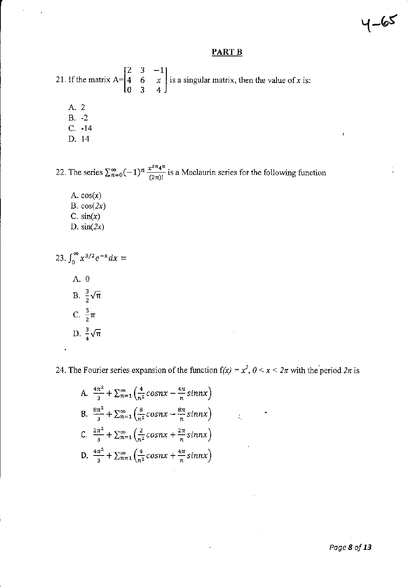$4 - 65$ 

ł

# **PART B**

21. If the matrix A=  $\begin{bmatrix} 2 & 3 & -1 \\ 4 & 6 & x \\ 0 & 3 & 4 \end{bmatrix}$  is a singular matrix, then the value of x is: A. 2  $B. -2$  $C. -14$ 

D. 14

22. The series  $\sum_{n=0}^{\infty} (-1)^n \frac{x^{2n}4^n}{(2n)!}$  is a Maclaurin series for the following function

A.  $cos(x)$ B.  $cos(2x)$ C.  $sin(x)$ D.  $sin(2x)$ 

23. 
$$
\int_0^\infty x^{3/2} e^{-x} dx =
$$
  
\nA. 0  
\nB.  $\frac{3}{2} \sqrt{\pi}$   
\nC.  $\frac{5}{2} \pi$   
\nD.  $\frac{3}{4} \sqrt{\pi}$ 

24. The Fourier series expansion of the function  $f(x) = x^2$ ,  $0 < x < 2\pi$  with the period  $2\pi$  is

 $\zeta$ 

A. 
$$
\frac{4\pi^2}{3} + \sum_{n=1}^{\infty} \left( \frac{4}{n^2} \cos nx - \frac{4\pi}{n} \sin nx \right)
$$
  
\nB. 
$$
\frac{8\pi^2}{3} + \sum_{n=1}^{\infty} \left( \frac{8}{n^2} \cos nx - \frac{8\pi}{n} \sin nx \right)
$$
  
\nC. 
$$
\frac{2\pi^2}{3} + \sum_{n=1}^{\infty} \left( \frac{2}{n^2} \cos nx + \frac{2\pi}{n} \sin nx \right)
$$
  
\nD. 
$$
\frac{4\pi^2}{3} + \sum_{n=1}^{\infty} \left( \frac{4}{n^2} \cos nx + \frac{4\pi}{n} \sin nx \right)
$$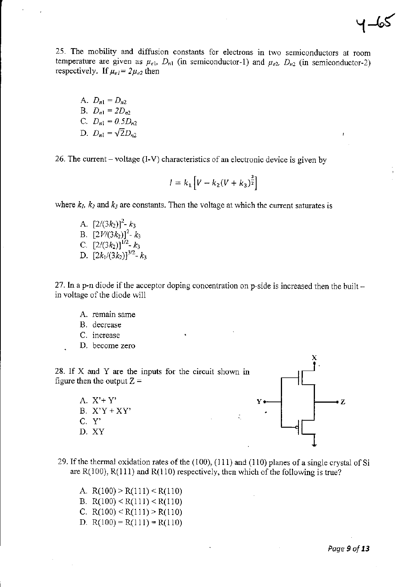A.  $D_{n1} = D_{n2}$ B.  $D_{n1} = 2D_{n2}$ C.  $D_{n1} = 0.5D_{n2}$ D.  $D_{n1} = \sqrt{2} D_{n2}$ 

26. The current – voltage (I-V) characteristics of an electronic device is given by

$$
l = k_1 \left[ V - k_2 (V + k_3)^{\frac{3}{2}} \right]
$$

where  $k_1$ ,  $k_2$  and  $k_3$  are constants. Then the voltage at which the current saturates is

A.  $[2/(3k_2)]^2$ -  $k_3$ B.  $[2V/(3k_2)]^2 - k_3$ <br>C.  $[2/(3k_2)]^{1/2} - k_3$ D.  $[2k_1/(3k_2)]^{3/2}$ -  $k_3$ 

27. In a p-n diode if the acceptor doping concentration on p-side is increased then the built in voltage of the diode will

A. remain same

B. decrease

- C. increase
- D. become zero

28. If X and Y are the inputs for the circuit shown in figure then the output  $Z =$ 

> A.  $X^*+Y^*$ B.  $X'Y+XY'$ C. Y' D. XY



- 29. If the thermal oxidation rates of the (100), (111) and (110) planes of a single crystal of Si are  $R(100)$ ,  $R(111)$  and  $R(110)$  respectively, then which of the following is true?
	- A.  $R(100) > R(111) < R(110)$ B.  $R(100) < R(111) < R(110)$ C. R(100) < R(111) > R(110)
	- D.  $R(100) = R(111) = R(110)$

 $-65$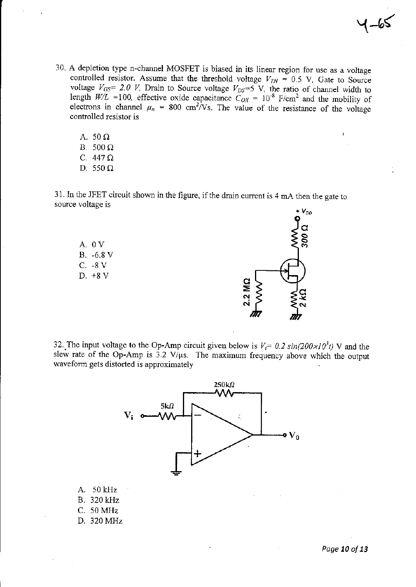- 
- 30. A depletion type n-channel MOSFET is biased in its linear region for use as a voltage controlled resistor. Assume that the threshold voltage  $V_{TH} = 0.5$  V, Gate to Source voltage  $V_{GS} = 2.0$  V, Drain to Source voltage  $V_{DS} = 5$  V, the ratio of channel width to length  $W/L = 100$ , effective oxide capacitance  $C_{OX} = 10^{-8}$  F/cm<sup>2</sup> and the mobility of electrons in channel  $\mu_n = 800$  cm<sup>2</sup>/Vs. T controlled resistor is
	- A. 50  $\Omega$ B.  $500 \Omega$ C. 447 $\Omega$ D. 550  $\Omega$

31. In the JFET circuit shown in the figure, if the drain current is 4 mA then the gate to source voltage is





32. The input voltage to the Op-Amp circuit given below is  $V_i = 0.2 \sin(200 \times 10^3 t)$  V and the slew rate of the Op-Amp is 3.2 V/ $\mu$ s. The maximum frequency above which the output waveform gets distorted is approximately

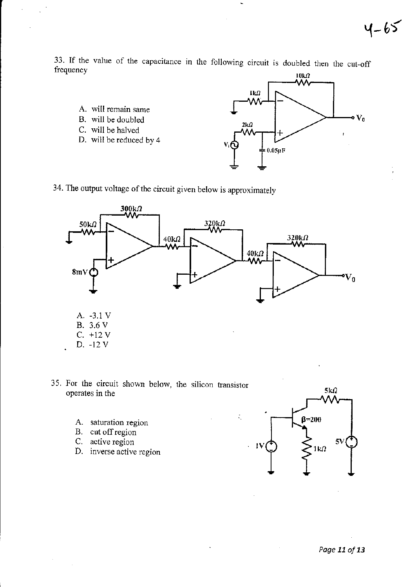33. If the value of the capacitance in the following circuit is doubled then the cut-off frequency

- A. will remain same
- B. will be doubled
- C. will be halved
- D. will be reduced by 4



34. The output voltage of the circuit given below is approximately



 $\zeta_i$ 

- 35. For the circuit shown below, the silicon hansistor operates in the
	- A. satwation region
	- B. cut offregion
	- C. active region
	- D. inverse active region

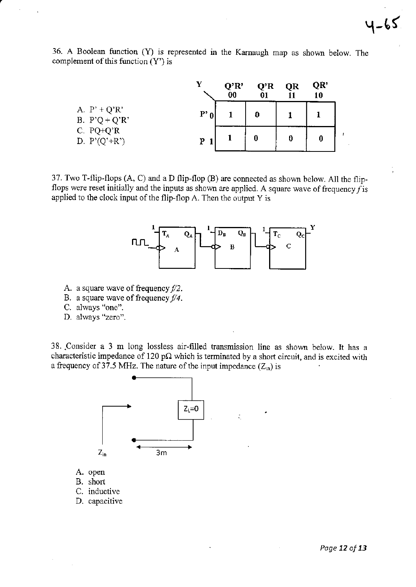36. A Boolean function (Y) is represented in the Karnaugh map as shown below. The complement of this function  $(Y')$  is

|                                   | v        | Q'R'<br>00 | Q'R<br>01 | QR | QR'<br>10 |  |
|-----------------------------------|----------|------------|-----------|----|-----------|--|
| A. $P' + Q'R'$<br>B. $P'Q + Q'R'$ | $P'_{0}$ |            | 0         |    |           |  |
| C. $PQ+Q'R$<br>D. $P'(Q'+R')$     | p        |            | 0         | 0  | 0         |  |

37. Two T-flip-flops (A, C) and a D flip-flop (B) are connected as shown below. All the flipflops were reset initially and the inputs as shown are applied. A square wave of frequency  $f$  is applied to the clock input of the flip-flop A. Then the output Y is



- A. a square wave of frequency  $f/2$ .
- B. a square wave of frequency  $f/4$ .
- C. always "one".
- D. always "zero".

38. Consider a 3 m long lossless air-filled transmission line as shown below. It has a characteristic impedance of 120 p $\Omega$  which is terminated by a short circuit, and is excited with a frequency of 37.5 MHz. The nature of the input impedance  $(Z_{in})$  is

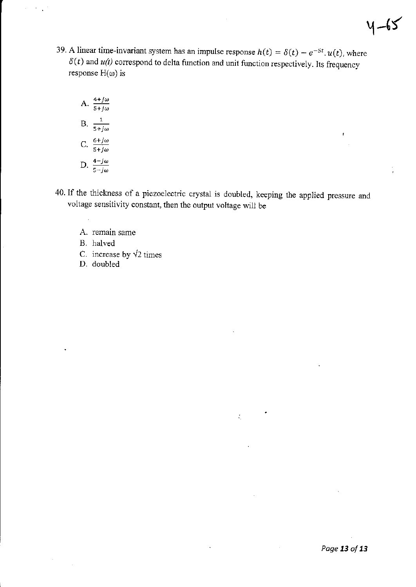39. A linear time-invariant system has an impulse response  $h(t) = \delta(t) - e^{-5t} \cdot u(t)$ , where  $\delta(t)$  and  $u(t)$  correspond to delta function and unit function respectively. Its frequency response  $H(\omega)$  is

A. 
$$
\frac{4+j\omega}{5+j\omega}
$$
  
B. 
$$
\frac{1}{5+j\omega}
$$
  
C. 
$$
\frac{6+j\omega}{5+j\omega}
$$
  
D. 
$$
\frac{4-j\omega}{5-j\omega}
$$

40. If the thickness of a piezoelectric crystal is doubled, keeping the applied pressure and voltage sensitivity constant, then the output voltage will be

 $\zeta$ 

- A. remain same
- B. halved
- C. increase by  $\sqrt{2}$  times
- D. doubled

 $4-65$ 

 $\epsilon$